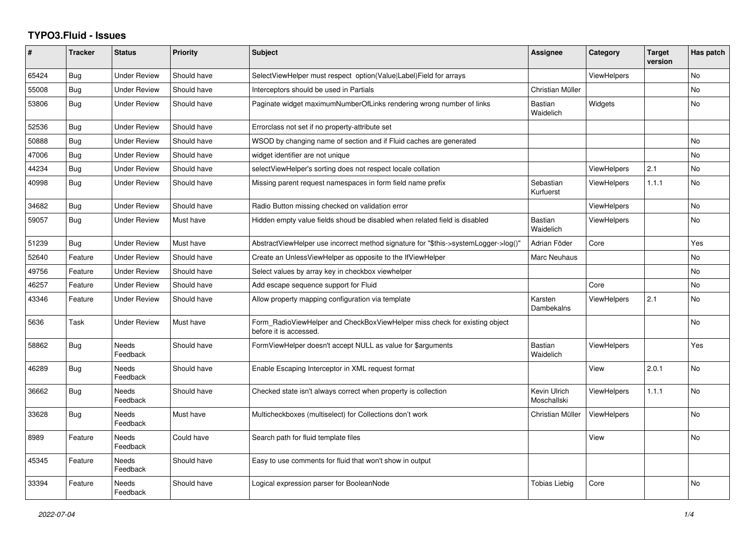## **TYPO3.Fluid - Issues**

| #     | <b>Tracker</b> | <b>Status</b>            | <b>Priority</b> | <b>Subject</b>                                                                                       | Assignee                    | Category           | <b>Target</b><br>version | Has patch      |
|-------|----------------|--------------------------|-----------------|------------------------------------------------------------------------------------------------------|-----------------------------|--------------------|--------------------------|----------------|
| 65424 | Bug            | <b>Under Review</b>      | Should have     | SelectViewHelper must respect option(Value Label)Field for arrays                                    |                             | <b>ViewHelpers</b> |                          | <b>No</b>      |
| 55008 | Bug            | Under Review             | Should have     | Interceptors should be used in Partials                                                              | Christian Müller            |                    |                          | N <sub>o</sub> |
| 53806 | Bug            | <b>Under Review</b>      | Should have     | Paginate widget maximumNumberOfLinks rendering wrong number of links                                 | <b>Bastian</b><br>Waidelich | Widgets            |                          | <b>No</b>      |
| 52536 | Bug            | <b>Under Review</b>      | Should have     | Errorclass not set if no property-attribute set                                                      |                             |                    |                          |                |
| 50888 | Bug            | <b>Under Review</b>      | Should have     | WSOD by changing name of section and if Fluid caches are generated                                   |                             |                    |                          | <b>No</b>      |
| 47006 | Bug            | Under Review             | Should have     | widget identifier are not unique                                                                     |                             |                    |                          | <b>No</b>      |
| 44234 | Bug            | Under Review             | Should have     | selectViewHelper's sorting does not respect locale collation                                         |                             | <b>ViewHelpers</b> | 2.1                      | No             |
| 40998 | <b>Bug</b>     | <b>Under Review</b>      | Should have     | Missing parent request namespaces in form field name prefix                                          | Sebastian<br>Kurfuerst      | ViewHelpers        | 1.1.1                    | N <sub>o</sub> |
| 34682 | Bug            | <b>Under Review</b>      | Should have     | Radio Button missing checked on validation error                                                     |                             | <b>ViewHelpers</b> |                          | No             |
| 59057 | <b>Bug</b>     | <b>Under Review</b>      | Must have       | Hidden empty value fields shoud be disabled when related field is disabled                           | <b>Bastian</b><br>Waidelich | <b>ViewHelpers</b> |                          | <b>No</b>      |
| 51239 | Bug            | <b>Under Review</b>      | Must have       | AbstractViewHelper use incorrect method signature for "\$this->systemLogger->log()"                  | Adrian Föder                | Core               |                          | Yes            |
| 52640 | Feature        | <b>Under Review</b>      | Should have     | Create an UnlessViewHelper as opposite to the IfViewHelper                                           | Marc Neuhaus                |                    |                          | <b>No</b>      |
| 49756 | Feature        | <b>Under Review</b>      | Should have     | Select values by array key in checkbox viewhelper                                                    |                             |                    |                          | No             |
| 46257 | Feature        | <b>Under Review</b>      | Should have     | Add escape sequence support for Fluid                                                                |                             | Core               |                          | <b>No</b>      |
| 43346 | Feature        | <b>Under Review</b>      | Should have     | Allow property mapping configuration via template                                                    | Karsten<br>Dambekalns       | <b>ViewHelpers</b> | 2.1                      | <b>No</b>      |
| 5636  | Task           | Under Review             | Must have       | Form RadioViewHelper and CheckBoxViewHelper miss check for existing object<br>before it is accessed. |                             |                    |                          | No             |
| 58862 | <b>Bug</b>     | <b>Needs</b><br>Feedback | Should have     | FormViewHelper doesn't accept NULL as value for \$arguments                                          | <b>Bastian</b><br>Waidelich | <b>ViewHelpers</b> |                          | Yes            |
| 46289 | Bug            | Needs<br>Feedback        | Should have     | Enable Escaping Interceptor in XML request format                                                    |                             | View               | 2.0.1                    | <b>No</b>      |
| 36662 | Bug            | Needs<br>Feedback        | Should have     | Checked state isn't always correct when property is collection                                       | Kevin Ulrich<br>Moschallski | <b>ViewHelpers</b> | 1.1.1                    | <b>No</b>      |
| 33628 | Bug            | Needs<br>Feedback        | Must have       | Multicheckboxes (multiselect) for Collections don't work                                             | Christian Müller            | <b>ViewHelpers</b> |                          | <b>No</b>      |
| 8989  | Feature        | <b>Needs</b><br>Feedback | Could have      | Search path for fluid template files                                                                 |                             | View               |                          | <b>No</b>      |
| 45345 | Feature        | <b>Needs</b><br>Feedback | Should have     | Easy to use comments for fluid that won't show in output                                             |                             |                    |                          |                |
| 33394 | Feature        | Needs<br>Feedback        | Should have     | Logical expression parser for BooleanNode                                                            | Tobias Liebig               | Core               |                          | <b>No</b>      |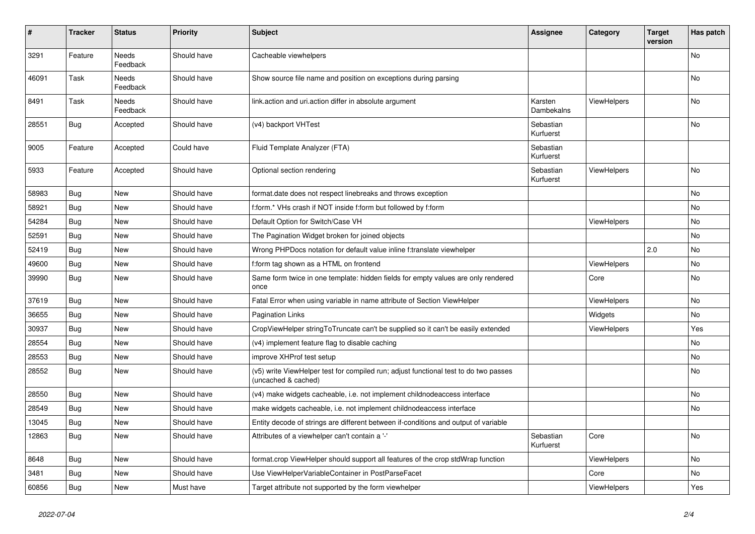| #     | <b>Tracker</b> | <b>Status</b>     | <b>Priority</b> | <b>Subject</b>                                                                                              | <b>Assignee</b>        | Category           | <b>Target</b><br>version | Has patch |
|-------|----------------|-------------------|-----------------|-------------------------------------------------------------------------------------------------------------|------------------------|--------------------|--------------------------|-----------|
| 3291  | Feature        | Needs<br>Feedback | Should have     | Cacheable viewhelpers                                                                                       |                        |                    |                          | No        |
| 46091 | Task           | Needs<br>Feedback | Should have     | Show source file name and position on exceptions during parsing                                             |                        |                    |                          | No        |
| 8491  | Task           | Needs<br>Feedback | Should have     | link.action and uri.action differ in absolute argument                                                      | Karsten<br>Dambekalns  | <b>ViewHelpers</b> |                          | <b>No</b> |
| 28551 | Bug            | Accepted          | Should have     | (v4) backport VHTest                                                                                        | Sebastian<br>Kurfuerst |                    |                          | No        |
| 9005  | Feature        | Accepted          | Could have      | Fluid Template Analyzer (FTA)                                                                               | Sebastian<br>Kurfuerst |                    |                          |           |
| 5933  | Feature        | Accepted          | Should have     | Optional section rendering                                                                                  | Sebastian<br>Kurfuerst | <b>ViewHelpers</b> |                          | No        |
| 58983 | Bug            | <b>New</b>        | Should have     | format.date does not respect linebreaks and throws exception                                                |                        |                    |                          | <b>No</b> |
| 58921 | Bug            | New               | Should have     | f:form.* VHs crash if NOT inside f:form but followed by f:form                                              |                        |                    |                          | No        |
| 54284 | <b>Bug</b>     | <b>New</b>        | Should have     | Default Option for Switch/Case VH                                                                           |                        | <b>ViewHelpers</b> |                          | No        |
| 52591 | Bug            | <b>New</b>        | Should have     | The Pagination Widget broken for joined objects                                                             |                        |                    |                          | <b>No</b> |
| 52419 | Bug            | <b>New</b>        | Should have     | Wrong PHPDocs notation for default value inline f:translate viewhelper                                      |                        |                    | 2.0                      | <b>No</b> |
| 49600 | <b>Bug</b>     | New               | Should have     | f:form tag shown as a HTML on frontend                                                                      |                        | <b>ViewHelpers</b> |                          | <b>No</b> |
| 39990 | Bug            | <b>New</b>        | Should have     | Same form twice in one template: hidden fields for empty values are only rendered<br>once                   |                        | Core               |                          | <b>No</b> |
| 37619 | Bug            | <b>New</b>        | Should have     | Fatal Error when using variable in name attribute of Section ViewHelper                                     |                        | <b>ViewHelpers</b> |                          | <b>No</b> |
| 36655 | Bug            | New               | Should have     | <b>Pagination Links</b>                                                                                     |                        | Widgets            |                          | No        |
| 30937 | Bug            | New               | Should have     | CropViewHelper stringToTruncate can't be supplied so it can't be easily extended                            |                        | ViewHelpers        |                          | Yes       |
| 28554 | Bug            | New               | Should have     | (v4) implement feature flag to disable caching                                                              |                        |                    |                          | No        |
| 28553 | Bug            | New               | Should have     | improve XHProf test setup                                                                                   |                        |                    |                          | No        |
| 28552 | Bug            | New               | Should have     | (v5) write ViewHelper test for compiled run; adjust functional test to do two passes<br>(uncached & cached) |                        |                    |                          | No        |
| 28550 | Bug            | New               | Should have     | (v4) make widgets cacheable, i.e. not implement childnodeaccess interface                                   |                        |                    |                          | No        |
| 28549 | Bug            | New               | Should have     | make widgets cacheable, i.e. not implement childnodeaccess interface                                        |                        |                    |                          | No        |
| 13045 | Bug            | New               | Should have     | Entity decode of strings are different between if-conditions and output of variable                         |                        |                    |                          |           |
| 12863 | Bug            | New               | Should have     | Attributes of a viewhelper can't contain a '-'                                                              | Sebastian<br>Kurfuerst | Core               |                          | No        |
| 8648  | Bug            | <b>New</b>        | Should have     | format.crop ViewHelper should support all features of the crop stdWrap function                             |                        | ViewHelpers        |                          | <b>No</b> |
| 3481  | Bug            | <b>New</b>        | Should have     | Use ViewHelperVariableContainer in PostParseFacet                                                           |                        | Core               |                          | <b>No</b> |
| 60856 | Bug            | New               | Must have       | Target attribute not supported by the form viewhelper                                                       |                        | ViewHelpers        |                          | Yes       |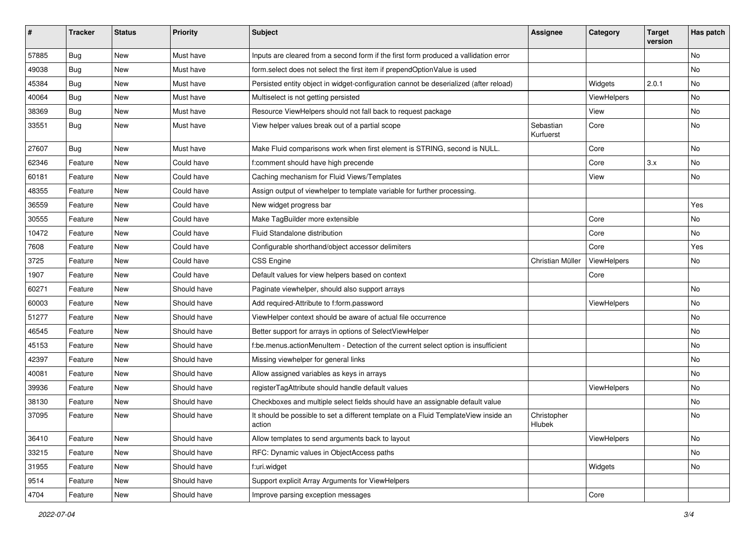| #     | <b>Tracker</b> | <b>Status</b> | <b>Priority</b> | <b>Subject</b>                                                                                | <b>Assignee</b>        | Category    | <b>Target</b><br>version | Has patch |
|-------|----------------|---------------|-----------------|-----------------------------------------------------------------------------------------------|------------------------|-------------|--------------------------|-----------|
| 57885 | Bug            | New           | Must have       | Inputs are cleared from a second form if the first form produced a vallidation error          |                        |             |                          | No        |
| 49038 | Bug            | New           | Must have       | form.select does not select the first item if prependOptionValue is used                      |                        |             |                          | No        |
| 45384 | Bug            | New           | Must have       | Persisted entity object in widget-configuration cannot be deserialized (after reload)         |                        | Widgets     | 2.0.1                    | No        |
| 40064 | Bug            | New           | Must have       | Multiselect is not getting persisted                                                          |                        | ViewHelpers |                          | <b>No</b> |
| 38369 | Bug            | New           | Must have       | Resource ViewHelpers should not fall back to request package                                  |                        | View        |                          | No        |
| 33551 | Bug            | New           | Must have       | View helper values break out of a partial scope                                               | Sebastian<br>Kurfuerst | Core        |                          | No        |
| 27607 | Bug            | New           | Must have       | Make Fluid comparisons work when first element is STRING, second is NULL.                     |                        | Core        |                          | No        |
| 62346 | Feature        | New           | Could have      | f:comment should have high precende                                                           |                        | Core        | 3.x                      | No        |
| 60181 | Feature        | New           | Could have      | Caching mechanism for Fluid Views/Templates                                                   |                        | View        |                          | No        |
| 48355 | Feature        | New           | Could have      | Assign output of viewhelper to template variable for further processing.                      |                        |             |                          |           |
| 36559 | Feature        | New           | Could have      | New widget progress bar                                                                       |                        |             |                          | Yes       |
| 30555 | Feature        | New           | Could have      | Make TagBuilder more extensible                                                               |                        | Core        |                          | No        |
| 10472 | Feature        | <b>New</b>    | Could have      | Fluid Standalone distribution                                                                 |                        | Core        |                          | No.       |
| 7608  | Feature        | New           | Could have      | Configurable shorthand/object accessor delimiters                                             |                        | Core        |                          | Yes       |
| 3725  | Feature        | New           | Could have      | <b>CSS Engine</b>                                                                             | Christian Müller       | ViewHelpers |                          | No        |
| 1907  | Feature        | New           | Could have      | Default values for view helpers based on context                                              |                        | Core        |                          |           |
| 60271 | Feature        | New           | Should have     | Paginate viewhelper, should also support arrays                                               |                        |             |                          | No        |
| 60003 | Feature        | New           | Should have     | Add required-Attribute to f:form.password                                                     |                        | ViewHelpers |                          | No        |
| 51277 | Feature        | New           | Should have     | ViewHelper context should be aware of actual file occurrence                                  |                        |             |                          | No        |
| 46545 | Feature        | New           | Should have     | Better support for arrays in options of SelectViewHelper                                      |                        |             |                          | No        |
| 45153 | Feature        | New           | Should have     | f:be.menus.actionMenuItem - Detection of the current select option is insufficient            |                        |             |                          | No        |
| 42397 | Feature        | New           | Should have     | Missing viewhelper for general links                                                          |                        |             |                          | No        |
| 40081 | Feature        | New           | Should have     | Allow assigned variables as keys in arrays                                                    |                        |             |                          | No        |
| 39936 | Feature        | New           | Should have     | registerTagAttribute should handle default values                                             |                        | ViewHelpers |                          | No        |
| 38130 | Feature        | New           | Should have     | Checkboxes and multiple select fields should have an assignable default value                 |                        |             |                          | No        |
| 37095 | Feature        | New           | Should have     | It should be possible to set a different template on a Fluid TemplateView inside an<br>action | Christopher<br>Hlubek  |             |                          | No        |
| 36410 | Feature        | New           | Should have     | Allow templates to send arguments back to layout                                              |                        | ViewHelpers |                          | No        |
| 33215 | Feature        | New           | Should have     | RFC: Dynamic values in ObjectAccess paths                                                     |                        |             |                          | No        |
| 31955 | Feature        | New           | Should have     | f:uri.widget                                                                                  |                        | Widgets     |                          | No        |
| 9514  | Feature        | New           | Should have     | Support explicit Array Arguments for ViewHelpers                                              |                        |             |                          |           |
| 4704  | Feature        | New           | Should have     | Improve parsing exception messages                                                            |                        | Core        |                          |           |